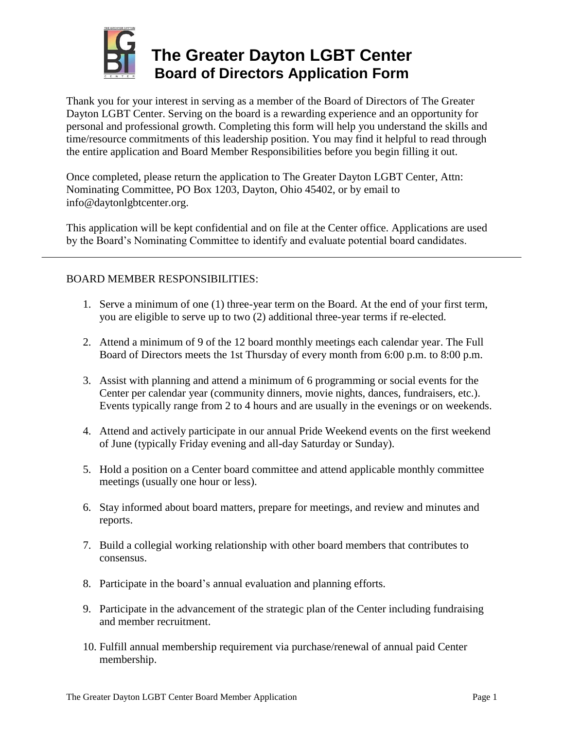

## **The Greater Dayton LGBT Center Board of Directors Application Form**

Thank you for your interest in serving as a member of the Board of Directors of The Greater Dayton LGBT Center. Serving on the board is a rewarding experience and an opportunity for personal and professional growth. Completing this form will help you understand the skills and time/resource commitments of this leadership position. You may find it helpful to read through the entire application and Board Member Responsibilities before you begin filling it out.

Once completed, please return the application to The Greater Dayton LGBT Center, Attn: Nominating Committee, PO Box 1203, Dayton, Ohio 45402, or by email to info@daytonlgbtcenter.org.

This application will be kept confidential and on file at the Center office. Applications are used by the Board's Nominating Committee to identify and evaluate potential board candidates.

## BOARD MEMBER RESPONSIBILITIES:

- 1. Serve a minimum of one (1) three-year term on the Board. At the end of your first term, you are eligible to serve up to two (2) additional three-year terms if re-elected.
- 2. Attend a minimum of 9 of the 12 board monthly meetings each calendar year. The Full Board of Directors meets the 1st Thursday of every month from 6:00 p.m. to 8:00 p.m.
- 3. Assist with planning and attend a minimum of 6 programming or social events for the Center per calendar year (community dinners, movie nights, dances, fundraisers, etc.). Events typically range from 2 to 4 hours and are usually in the evenings or on weekends.
- 4. Attend and actively participate in our annual Pride Weekend events on the first weekend of June (typically Friday evening and all-day Saturday or Sunday).
- 5. Hold a position on a Center board committee and attend applicable monthly committee meetings (usually one hour or less).
- 6. Stay informed about board matters, prepare for meetings, and review and minutes and reports.
- 7. Build a collegial working relationship with other board members that contributes to consensus.
- 8. Participate in the board's annual evaluation and planning efforts.
- 9. Participate in the advancement of the strategic plan of the Center including fundraising and member recruitment.
- 10. Fulfill annual membership requirement via purchase/renewal of annual paid Center membership.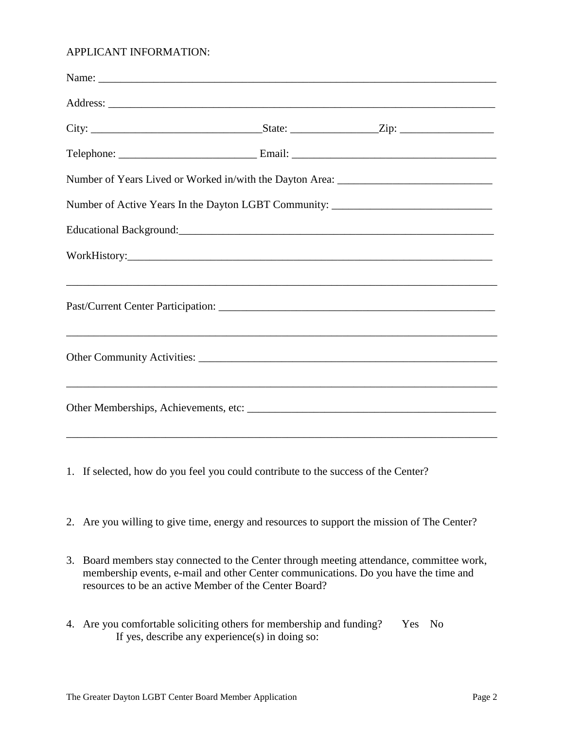## APPLICANT INFORMATION:

|                                                                                  | Number of Years Lived or Worked in/with the Dayton Area: ________________________ |  |  |  |
|----------------------------------------------------------------------------------|-----------------------------------------------------------------------------------|--|--|--|
| Number of Active Years In the Dayton LGBT Community: ___________________________ |                                                                                   |  |  |  |
|                                                                                  |                                                                                   |  |  |  |
|                                                                                  |                                                                                   |  |  |  |
|                                                                                  |                                                                                   |  |  |  |
|                                                                                  |                                                                                   |  |  |  |
|                                                                                  |                                                                                   |  |  |  |
|                                                                                  |                                                                                   |  |  |  |
|                                                                                  | ,我们也不能会在这里的时候,我们也不能会在这里,我们也不能会在这里,我们也不能会在这里,我们也不能会在这里,我们也不能会在这里,我们也不能会不能会不能会。""我们 |  |  |  |
|                                                                                  |                                                                                   |  |  |  |
|                                                                                  |                                                                                   |  |  |  |

- 1. If selected, how do you feel you could contribute to the success of the Center?
- 2. Are you willing to give time, energy and resources to support the mission of The Center?
- 3. Board members stay connected to the Center through meeting attendance, committee work, membership events, e-mail and other Center communications. Do you have the time and resources to be an active Member of the Center Board?
- 4. Are you comfortable soliciting others for membership and funding? Yes No If yes, describe any experience(s) in doing so: